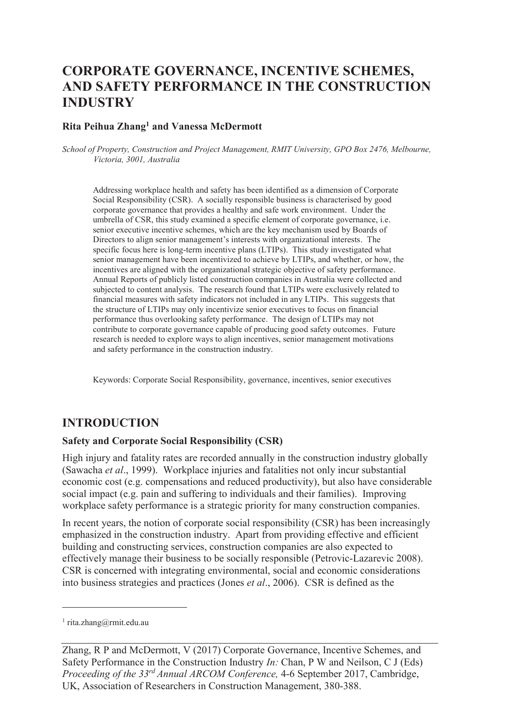# **CORPORATE GOVERNANCE, INCENTIVE SCHEMES, AND SAFETY PERFORMANCE IN THE CONSTRUCTION INDUSTRY**

#### **Rita Peihua Zhang<sup>1</sup> and Vanessa McDermott**

*School of Property, Construction and Project Management, RMIT University, GPO Box 2476, Melbourne, Victoria, 3001, Australia* 

Addressing workplace health and safety has been identified as a dimension of Corporate Social Responsibility (CSR). A socially responsible business is characterised by good corporate governance that provides a healthy and safe work environment. Under the umbrella of CSR, this study examined a specific element of corporate governance, i.e. senior executive incentive schemes, which are the key mechanism used by Boards of Directors to align senior management's interests with organizational interests. The specific focus here is long-term incentive plans (LTIPs). This study investigated what senior management have been incentivized to achieve by LTIPs, and whether, or how, the incentives are aligned with the organizational strategic objective of safety performance. Annual Reports of publicly listed construction companies in Australia were collected and subjected to content analysis. The research found that LTIPs were exclusively related to financial measures with safety indicators not included in any LTIPs. This suggests that the structure of LTIPs may only incentivize senior executives to focus on financial performance thus overlooking safety performance. The design of LTIPs may not contribute to corporate governance capable of producing good safety outcomes. Future research is needed to explore ways to align incentives, senior management motivations and safety performance in the construction industry.

Keywords: Corporate Social Responsibility, governance, incentives, senior executives

#### **INTRODUCTION**

#### **Safety and Corporate Social Responsibility (CSR)**

High injury and fatality rates are recorded annually in the construction industry globally (Sawacha *et al*., 1999). Workplace injuries and fatalities not only incur substantial economic cost (e.g. compensations and reduced productivity), but also have considerable social impact (e.g. pain and suffering to individuals and their families). Improving workplace safety performance is a strategic priority for many construction companies.

In recent years, the notion of corporate social responsibility (CSR) has been increasingly emphasized in the construction industry. Apart from providing effective and efficient building and constructing services, construction companies are also expected to effectively manage their business to be socially responsible (Petrovic-Lazarevic 2008). CSR is concerned with integrating environmental, social and economic considerations into business strategies and practices (Jones *et al*., 2006). CSR is defined as the

-

<sup>1</sup> rita.zhang@rmit.edu.au

Zhang, R P and McDermott, V (2017) Corporate Governance, Incentive Schemes, and Safety Performance in the Construction Industry *In:* Chan, P W and Neilson, C J (Eds) *Proceeding of the 33rd Annual ARCOM Conference,* 4-6 September 2017, Cambridge, UK, Association of Researchers in Construction Management, 380-388.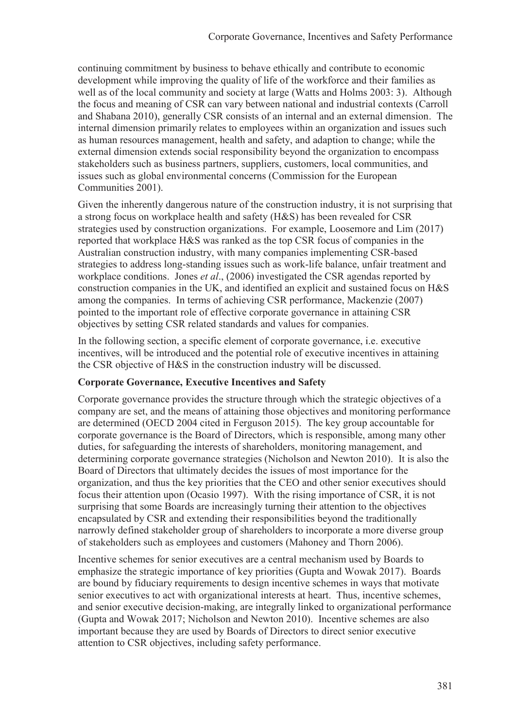continuing commitment by business to behave ethically and contribute to economic development while improving the quality of life of the workforce and their families as well as of the local community and society at large (Watts and Holms 2003: 3). Although the focus and meaning of CSR can vary between national and industrial contexts (Carroll and Shabana 2010), generally CSR consists of an internal and an external dimension. The internal dimension primarily relates to employees within an organization and issues such as human resources management, health and safety, and adaption to change; while the external dimension extends social responsibility beyond the organization to encompass stakeholders such as business partners, suppliers, customers, local communities, and issues such as global environmental concerns (Commission for the European Communities 2001).

Given the inherently dangerous nature of the construction industry, it is not surprising that a strong focus on workplace health and safety (H&S) has been revealed for CSR strategies used by construction organizations. For example, Loosemore and Lim (2017) reported that workplace H&S was ranked as the top CSR focus of companies in the Australian construction industry, with many companies implementing CSR-based strategies to address long-standing issues such as work-life balance, unfair treatment and workplace conditions. Jones *et al*., (2006) investigated the CSR agendas reported by construction companies in the UK, and identified an explicit and sustained focus on H&S among the companies. In terms of achieving CSR performance, Mackenzie (2007) pointed to the important role of effective corporate governance in attaining CSR objectives by setting CSR related standards and values for companies.

In the following section, a specific element of corporate governance, i.e. executive incentives, will be introduced and the potential role of executive incentives in attaining the CSR objective of H&S in the construction industry will be discussed.

### **Corporate Governance, Executive Incentives and Safety**

Corporate governance provides the structure through which the strategic objectives of a company are set, and the means of attaining those objectives and monitoring performance are determined (OECD 2004 cited in Ferguson 2015). The key group accountable for corporate governance is the Board of Directors, which is responsible, among many other duties, for safeguarding the interests of shareholders, monitoring management, and determining corporate governance strategies (Nicholson and Newton 2010). It is also the Board of Directors that ultimately decides the issues of most importance for the organization, and thus the key priorities that the CEO and other senior executives should focus their attention upon (Ocasio 1997). With the rising importance of CSR, it is not surprising that some Boards are increasingly turning their attention to the objectives encapsulated by CSR and extending their responsibilities beyond the traditionally narrowly defined stakeholder group of shareholders to incorporate a more diverse group of stakeholders such as employees and customers (Mahoney and Thorn 2006).

Incentive schemes for senior executives are a central mechanism used by Boards to emphasize the strategic importance of key priorities (Gupta and Wowak 2017). Boards are bound by fiduciary requirements to design incentive schemes in ways that motivate senior executives to act with organizational interests at heart. Thus, incentive schemes, and senior executive decision-making, are integrally linked to organizational performance (Gupta and Wowak 2017; Nicholson and Newton 2010). Incentive schemes are also important because they are used by Boards of Directors to direct senior executive attention to CSR objectives, including safety performance.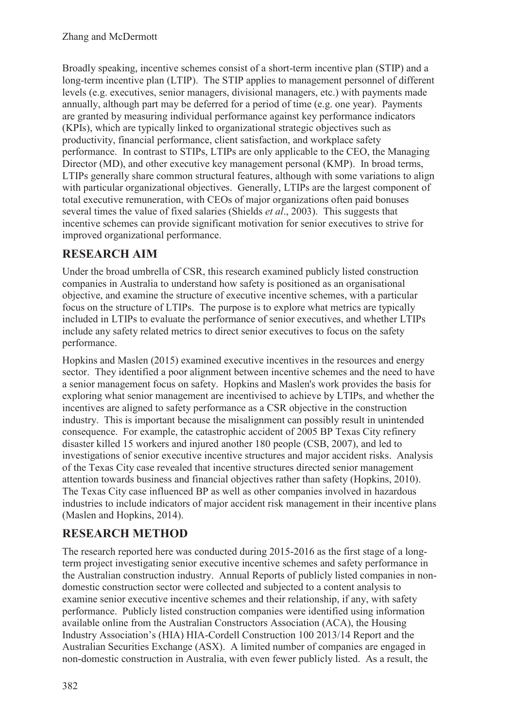Broadly speaking, incentive schemes consist of a short-term incentive plan (STIP) and a long-term incentive plan (LTIP). The STIP applies to management personnel of different levels (e.g. executives, senior managers, divisional managers, etc.) with payments made annually, although part may be deferred for a period of time (e.g. one year). Payments are granted by measuring individual performance against key performance indicators (KPIs), which are typically linked to organizational strategic objectives such as productivity, financial performance, client satisfaction, and workplace safety performance. In contrast to STIPs, LTIPs are only applicable to the CEO, the Managing Director (MD), and other executive key management personal (KMP). In broad terms, LTIPs generally share common structural features, although with some variations to align with particular organizational objectives. Generally, LTIPs are the largest component of total executive remuneration, with CEOs of major organizations often paid bonuses several times the value of fixed salaries (Shields *et al*., 2003). This suggests that incentive schemes can provide significant motivation for senior executives to strive for improved organizational performance.

## **RESEARCH AIM**

Under the broad umbrella of CSR, this research examined publicly listed construction companies in Australia to understand how safety is positioned as an organisational objective, and examine the structure of executive incentive schemes, with a particular focus on the structure of LTIPs. The purpose is to explore what metrics are typically included in LTIPs to evaluate the performance of senior executives, and whether LTIPs include any safety related metrics to direct senior executives to focus on the safety performance.

Hopkins and Maslen (2015) examined executive incentives in the resources and energy sector. They identified a poor alignment between incentive schemes and the need to have a senior management focus on safety. Hopkins and Maslen's work provides the basis for exploring what senior management are incentivised to achieve by LTIPs, and whether the incentives are aligned to safety performance as a CSR objective in the construction industry. This is important because the misalignment can possibly result in unintended consequence. For example, the catastrophic accident of 2005 BP Texas City refinery disaster killed 15 workers and injured another 180 people (CSB, 2007), and led to investigations of senior executive incentive structures and major accident risks. Analysis of the Texas City case revealed that incentive structures directed senior management attention towards business and financial objectives rather than safety (Hopkins, 2010). The Texas City case influenced BP as well as other companies involved in hazardous industries to include indicators of major accident risk management in their incentive plans (Maslen and Hopkins, 2014).

# **RESEARCH METHOD**

The research reported here was conducted during 2015-2016 as the first stage of a longterm project investigating senior executive incentive schemes and safety performance in the Australian construction industry. Annual Reports of publicly listed companies in nondomestic construction sector were collected and subjected to a content analysis to examine senior executive incentive schemes and their relationship, if any, with safety performance. Publicly listed construction companies were identified using information available online from the Australian Constructors Association (ACA), the Housing Industry Association's (HIA) HIA-Cordell Construction 100 2013/14 Report and the Australian Securities Exchange (ASX). A limited number of companies are engaged in non-domestic construction in Australia, with even fewer publicly listed. As a result, the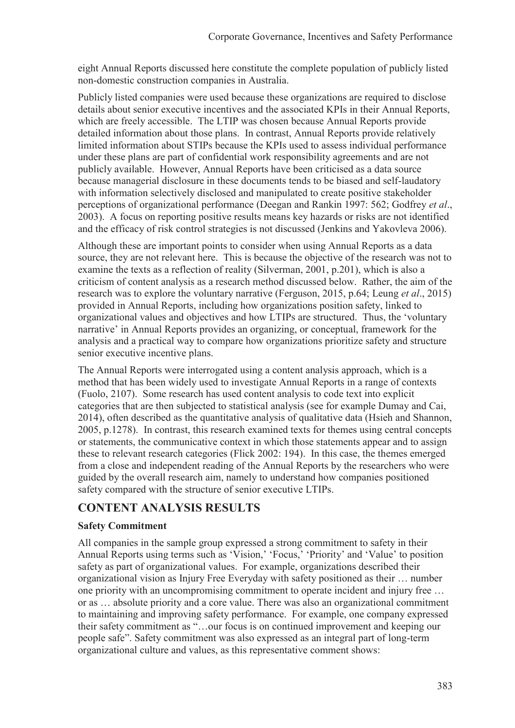eight Annual Reports discussed here constitute the complete population of publicly listed non-domestic construction companies in Australia.

Publicly listed companies were used because these organizations are required to disclose details about senior executive incentives and the associated KPIs in their Annual Reports, which are freely accessible. The LTIP was chosen because Annual Reports provide detailed information about those plans. In contrast, Annual Reports provide relatively limited information about STIPs because the KPIs used to assess individual performance under these plans are part of confidential work responsibility agreements and are not publicly available. However, Annual Reports have been criticised as a data source because managerial disclosure in these documents tends to be biased and self-laudatory with information selectively disclosed and manipulated to create positive stakeholder perceptions of organizational performance (Deegan and Rankin 1997: 562; Godfrey *et al*., 2003). A focus on reporting positive results means key hazards or risks are not identified and the efficacy of risk control strategies is not discussed (Jenkins and Yakovleva 2006).

Although these are important points to consider when using Annual Reports as a data source, they are not relevant here. This is because the objective of the research was not to examine the texts as a reflection of reality (Silverman, 2001, p.201), which is also a criticism of content analysis as a research method discussed below. Rather, the aim of the research was to explore the voluntary narrative (Ferguson, 2015, p.64; Leung *et al*., 2015) provided in Annual Reports, including how organizations position safety, linked to organizational values and objectives and how LTIPs are structured. Thus, the 'voluntary narrative' in Annual Reports provides an organizing, or conceptual, framework for the analysis and a practical way to compare how organizations prioritize safety and structure senior executive incentive plans.

The Annual Reports were interrogated using a content analysis approach, which is a method that has been widely used to investigate Annual Reports in a range of contexts (Fuolo, 2107). Some research has used content analysis to code text into explicit categories that are then subjected to statistical analysis (see for example Dumay and Cai, 2014), often described as the quantitative analysis of qualitative data (Hsieh and Shannon, 2005, p.1278). In contrast, this research examined texts for themes using central concepts or statements, the communicative context in which those statements appear and to assign these to relevant research categories (Flick 2002: 194). In this case, the themes emerged from a close and independent reading of the Annual Reports by the researchers who were guided by the overall research aim, namely to understand how companies positioned safety compared with the structure of senior executive LTIPs.

### **CONTENT ANALYSIS RESULTS**

### **Safety Commitment**

All companies in the sample group expressed a strong commitment to safety in their Annual Reports using terms such as 'Vision,' 'Focus,' 'Priority' and 'Value' to position safety as part of organizational values. For example, organizations described their organizational vision as Injury Free Everyday with safety positioned as their … number one priority with an uncompromising commitment to operate incident and injury free … or as … absolute priority and a core value. There was also an organizational commitment to maintaining and improving safety performance. For example, one company expressed their safety commitment as "…our focus is on continued improvement and keeping our people safe". Safety commitment was also expressed as an integral part of long-term organizational culture and values, as this representative comment shows: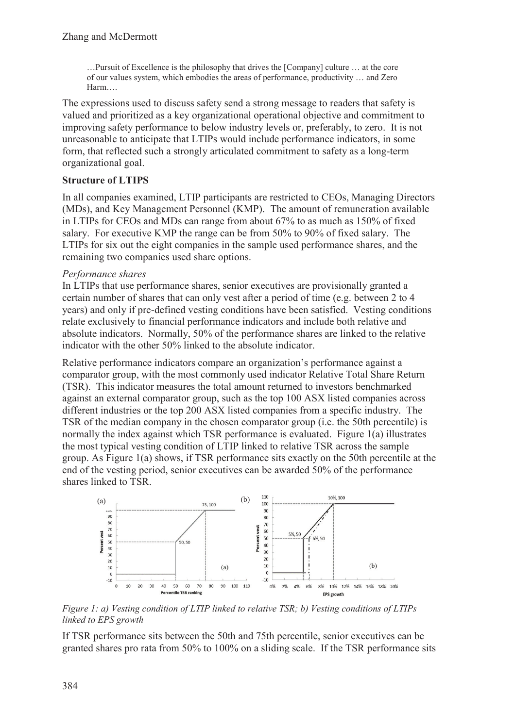…Pursuit of Excellence is the philosophy that drives the [Company] culture … at the core of our values system, which embodies the areas of performance, productivity … and Zero Harm….

The expressions used to discuss safety send a strong message to readers that safety is valued and prioritized as a key organizational operational objective and commitment to improving safety performance to below industry levels or, preferably, to zero. It is not unreasonable to anticipate that LTIPs would include performance indicators, in some form, that reflected such a strongly articulated commitment to safety as a long-term organizational goal.

### **Structure of LTIPS**

In all companies examined, LTIP participants are restricted to CEOs, Managing Directors (MDs), and Key Management Personnel (KMP). The amount of remuneration available in LTIPs for CEOs and MDs can range from about 67% to as much as 150% of fixed salary. For executive KMP the range can be from 50% to 90% of fixed salary. The LTIPs for six out the eight companies in the sample used performance shares, and the remaining two companies used share options.

#### *Performance shares*

In LTIPs that use performance shares, senior executives are provisionally granted a certain number of shares that can only vest after a period of time (e.g. between 2 to 4 years) and only if pre-defined vesting conditions have been satisfied. Vesting conditions relate exclusively to financial performance indicators and include both relative and absolute indicators. Normally, 50% of the performance shares are linked to the relative indicator with the other 50% linked to the absolute indicator.

Relative performance indicators compare an organization's performance against a comparator group, with the most commonly used indicator Relative Total Share Return (TSR). This indicator measures the total amount returned to investors benchmarked against an external comparator group, such as the top 100 ASX listed companies across different industries or the top 200 ASX listed companies from a specific industry. The TSR of the median company in the chosen comparator group (i.e. the 50th percentile) is normally the index against which TSR performance is evaluated. Figure 1(a) illustrates the most typical vesting condition of LTIP linked to relative TSR across the sample group. As Figure 1(a) shows, if TSR performance sits exactly on the 50th percentile at the end of the vesting period, senior executives can be awarded 50% of the performance shares linked to TSR.



*Figure 1: a) Vesting condition of LTIP linked to relative TSR; b) Vesting conditions of LTIPs linked to EPS growth* 

If TSR performance sits between the 50th and 75th percentile, senior executives can be granted shares pro rata from 50% to 100% on a sliding scale. If the TSR performance sits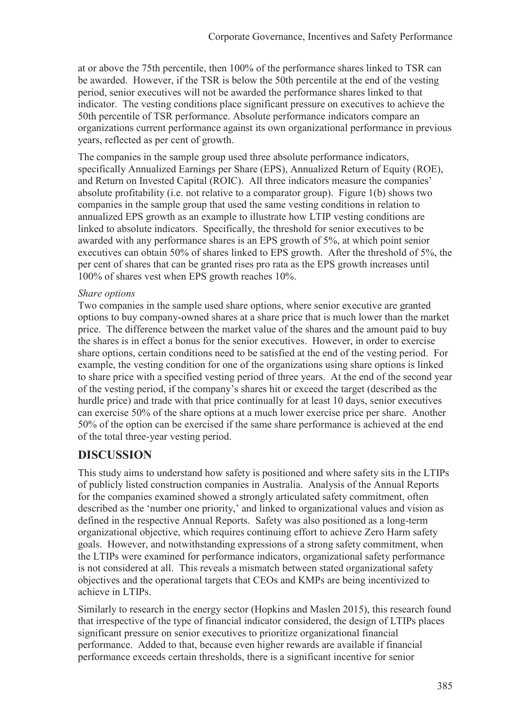at or above the 75th percentile, then 100% of the performance shares linked to TSR can be awarded. However, if the TSR is below the 50th percentile at the end of the vesting period, senior executives will not be awarded the performance shares linked to that indicator. The vesting conditions place significant pressure on executives to achieve the 50th percentile of TSR performance. Absolute performance indicators compare an organizations current performance against its own organizational performance in previous years, reflected as per cent of growth.

The companies in the sample group used three absolute performance indicators, specifically Annualized Earnings per Share (EPS), Annualized Return of Equity (ROE), and Return on Invested Capital (ROIC). All three indicators measure the companies' absolute profitability (i.e. not relative to a comparator group). Figure 1(b) shows two companies in the sample group that used the same vesting conditions in relation to annualized EPS growth as an example to illustrate how LTIP vesting conditions are linked to absolute indicators. Specifically, the threshold for senior executives to be awarded with any performance shares is an EPS growth of 5%, at which point senior executives can obtain 50% of shares linked to EPS growth. After the threshold of 5%, the per cent of shares that can be granted rises pro rata as the EPS growth increases until 100% of shares vest when EPS growth reaches 10%.

#### *Share options*

Two companies in the sample used share options, where senior executive are granted options to buy company-owned shares at a share price that is much lower than the market price. The difference between the market value of the shares and the amount paid to buy the shares is in effect a bonus for the senior executives. However, in order to exercise share options, certain conditions need to be satisfied at the end of the vesting period. For example, the vesting condition for one of the organizations using share options is linked to share price with a specified vesting period of three years. At the end of the second year of the vesting period, if the company's shares hit or exceed the target (described as the hurdle price) and trade with that price continually for at least 10 days, senior executives can exercise 50% of the share options at a much lower exercise price per share. Another 50% of the option can be exercised if the same share performance is achieved at the end of the total three-year vesting period.

## **DISCUSSION**

This study aims to understand how safety is positioned and where safety sits in the LTIPs of publicly listed construction companies in Australia. Analysis of the Annual Reports for the companies examined showed a strongly articulated safety commitment, often described as the 'number one priority,' and linked to organizational values and vision as defined in the respective Annual Reports. Safety was also positioned as a long-term organizational objective, which requires continuing effort to achieve Zero Harm safety goals. However, and notwithstanding expressions of a strong safety commitment, when the LTIPs were examined for performance indicators, organizational safety performance is not considered at all. This reveals a mismatch between stated organizational safety objectives and the operational targets that CEOs and KMPs are being incentivized to achieve in LTIPs.

Similarly to research in the energy sector (Hopkins and Maslen 2015), this research found that irrespective of the type of financial indicator considered, the design of LTIPs places significant pressure on senior executives to prioritize organizational financial performance. Added to that, because even higher rewards are available if financial performance exceeds certain thresholds, there is a significant incentive for senior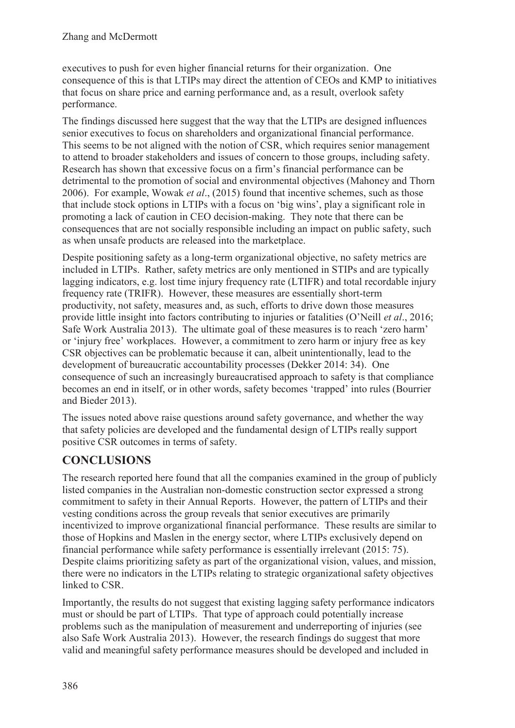executives to push for even higher financial returns for their organization. One consequence of this is that LTIPs may direct the attention of CEOs and KMP to initiatives that focus on share price and earning performance and, as a result, overlook safety performance.

The findings discussed here suggest that the way that the LTIPs are designed influences senior executives to focus on shareholders and organizational financial performance. This seems to be not aligned with the notion of CSR, which requires senior management to attend to broader stakeholders and issues of concern to those groups, including safety. Research has shown that excessive focus on a firm's financial performance can be detrimental to the promotion of social and environmental objectives (Mahoney and Thorn 2006). For example, Wowak *et al*., (2015) found that incentive schemes, such as those that include stock options in LTIPs with a focus on 'big wins', play a significant role in promoting a lack of caution in CEO decision-making. They note that there can be consequences that are not socially responsible including an impact on public safety, such as when unsafe products are released into the marketplace.

Despite positioning safety as a long-term organizational objective, no safety metrics are included in LTIPs. Rather, safety metrics are only mentioned in STIPs and are typically lagging indicators, e.g. lost time injury frequency rate (LTIFR) and total recordable injury frequency rate (TRIFR). However, these measures are essentially short-term productivity, not safety, measures and, as such, efforts to drive down those measures provide little insight into factors contributing to injuries or fatalities (O'Neill *et al*., 2016; Safe Work Australia 2013). The ultimate goal of these measures is to reach 'zero harm' or 'injury free' workplaces. However, a commitment to zero harm or injury free as key CSR objectives can be problematic because it can, albeit unintentionally, lead to the development of bureaucratic accountability processes (Dekker 2014: 34). One consequence of such an increasingly bureaucratised approach to safety is that compliance becomes an end in itself, or in other words, safety becomes 'trapped' into rules (Bourrier and Bieder 2013).

The issues noted above raise questions around safety governance, and whether the way that safety policies are developed and the fundamental design of LTIPs really support positive CSR outcomes in terms of safety.

## **CONCLUSIONS**

The research reported here found that all the companies examined in the group of publicly listed companies in the Australian non-domestic construction sector expressed a strong commitment to safety in their Annual Reports. However, the pattern of LTIPs and their vesting conditions across the group reveals that senior executives are primarily incentivized to improve organizational financial performance. These results are similar to those of Hopkins and Maslen in the energy sector, where LTIPs exclusively depend on financial performance while safety performance is essentially irrelevant (2015: 75). Despite claims prioritizing safety as part of the organizational vision, values, and mission, there were no indicators in the LTIPs relating to strategic organizational safety objectives linked to CSR.

Importantly, the results do not suggest that existing lagging safety performance indicators must or should be part of LTIPs. That type of approach could potentially increase problems such as the manipulation of measurement and underreporting of injuries (see also Safe Work Australia 2013). However, the research findings do suggest that more valid and meaningful safety performance measures should be developed and included in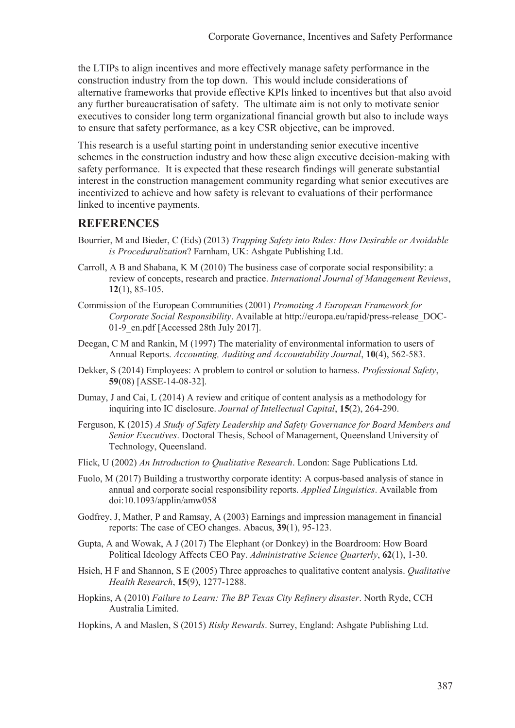the LTIPs to align incentives and more effectively manage safety performance in the construction industry from the top down. This would include considerations of alternative frameworks that provide effective KPIs linked to incentives but that also avoid any further bureaucratisation of safety. The ultimate aim is not only to motivate senior executives to consider long term organizational financial growth but also to include ways to ensure that safety performance, as a key CSR objective, can be improved.

This research is a useful starting point in understanding senior executive incentive schemes in the construction industry and how these align executive decision-making with safety performance. It is expected that these research findings will generate substantial interest in the construction management community regarding what senior executives are incentivized to achieve and how safety is relevant to evaluations of their performance linked to incentive payments.

### **REFERENCES**

- Bourrier, M and Bieder, C (Eds) (2013) *Trapping Safety into Rules: How Desirable or Avoidable is Proceduralization*? Farnham, UK: Ashgate Publishing Ltd.
- Carroll, A B and Shabana, K M (2010) The business case of corporate social responsibility: a review of concepts, research and practice. *International Journal of Management Reviews*, **12**(1), 85-105.
- Commission of the European Communities (2001) *Promoting A European Framework for Corporate Social Responsibility*. Available at http://europa.eu/rapid/press-release\_DOC-01-9 en.pdf [Accessed 28th July 2017].
- Deegan, C M and Rankin, M (1997) The materiality of environmental information to users of Annual Reports. *Accounting, Auditing and Accountability Journal*, **10**(4), 562-583.
- Dekker, S (2014) Employees: A problem to control or solution to harness. *Professional Safety*, **59**(08) [ASSE-14-08-32].
- Dumay, J and Cai, L (2014) A review and critique of content analysis as a methodology for inquiring into IC disclosure. *Journal of Intellectual Capital*, **15**(2), 264-290.
- Ferguson, K (2015) *A Study of Safety Leadership and Safety Governance for Board Members and Senior Executives*. Doctoral Thesis, School of Management, Queensland University of Technology, Queensland.
- Flick, U (2002) *An Introduction to Qualitative Research*. London: Sage Publications Ltd.
- Fuolo, M (2017) Building a trustworthy corporate identity: A corpus-based analysis of stance in annual and corporate social responsibility reports. *Applied Linguistics*. Available from doi:10.1093/applin/amw058
- Godfrey, J, Mather, P and Ramsay, A (2003) Earnings and impression management in financial reports: The case of CEO changes. Abacus, **39**(1), 95-123.
- Gupta, A and Wowak, A J (2017) The Elephant (or Donkey) in the Boardroom: How Board Political Ideology Affects CEO Pay. *Administrative Science Quarterly*, **62**(1), 1-30.
- Hsieh, H F and Shannon, S E (2005) Three approaches to qualitative content analysis. *Qualitative Health Research*, **15**(9), 1277-1288.
- Hopkins, A (2010) *Failure to Learn: The BP Texas City Refinery disaster*. North Ryde, CCH Australia Limited.
- Hopkins, A and Maslen, S (2015) *Risky Rewards*. Surrey, England: Ashgate Publishing Ltd.